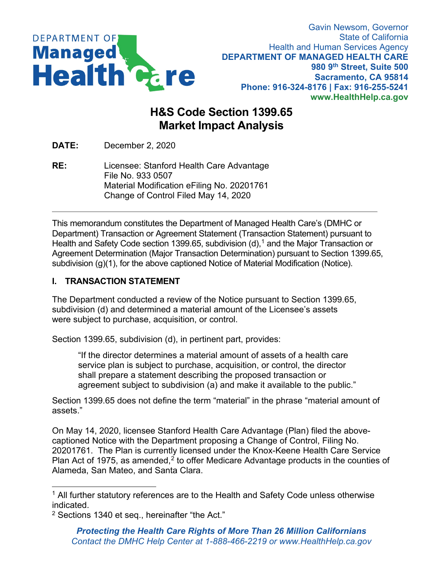

## **H&S Code Section 1399.65 Market Impact Analysis**

**DATE:** December 2, 2020

**RE:** Licensee: Stanford Health Care Advantage File No. 933 0507 Material Modification eFiling No. 20201761 Change of Control Filed May 14, 2020

This memorandum constitutes the Department of Managed Health Care's (DMHC or Department) Transaction or Agreement Statement (Transaction Statement) pursuant to Health and Safety Code section 1399.65, subdivision (d), <sup>1</sup> and the Major Transaction or Agreement Determination (Major Transaction Determination) pursuant to Section 1399.65, subdivision (g)(1), for the above captioned Notice of Material Modification (Notice).

## **I. TRANSACTION STATEMENT**

The Department conducted a review of the Notice pursuant to Section 1399.65, subdivision (d) and determined a material amount of the Licensee's assets were subject to purchase, acquisition, or control.

Section 1399.65, subdivision (d), in pertinent part, provides:

"If the director determines a material amount of assets of a health care service plan is subject to purchase, acquisition, or control, the director shall prepare a statement describing the proposed transaction or agreement subject to subdivision (a) and make it available to the public."

Section 1399.65 does not define the term "material" in the phrase "material amount of assets."

On May 14, 2020, licensee Stanford Health Care Advantage (Plan) filed the abovecaptioned Notice with the Department proposing a Change of Control, Filing No. 20201761. The Plan is currently licensed under the Knox-Keene Health Care Service Plan Act of 1975, as amended, $2$  to offer Medicare Advantage products in the counties of Alameda, San Mateo, and Santa Clara.

 $1$  All further statutory references are to the Health and Safety Code unless otherwise indicated.

<sup>2</sup> Sections 1340 et seq., hereinafter "the Act."